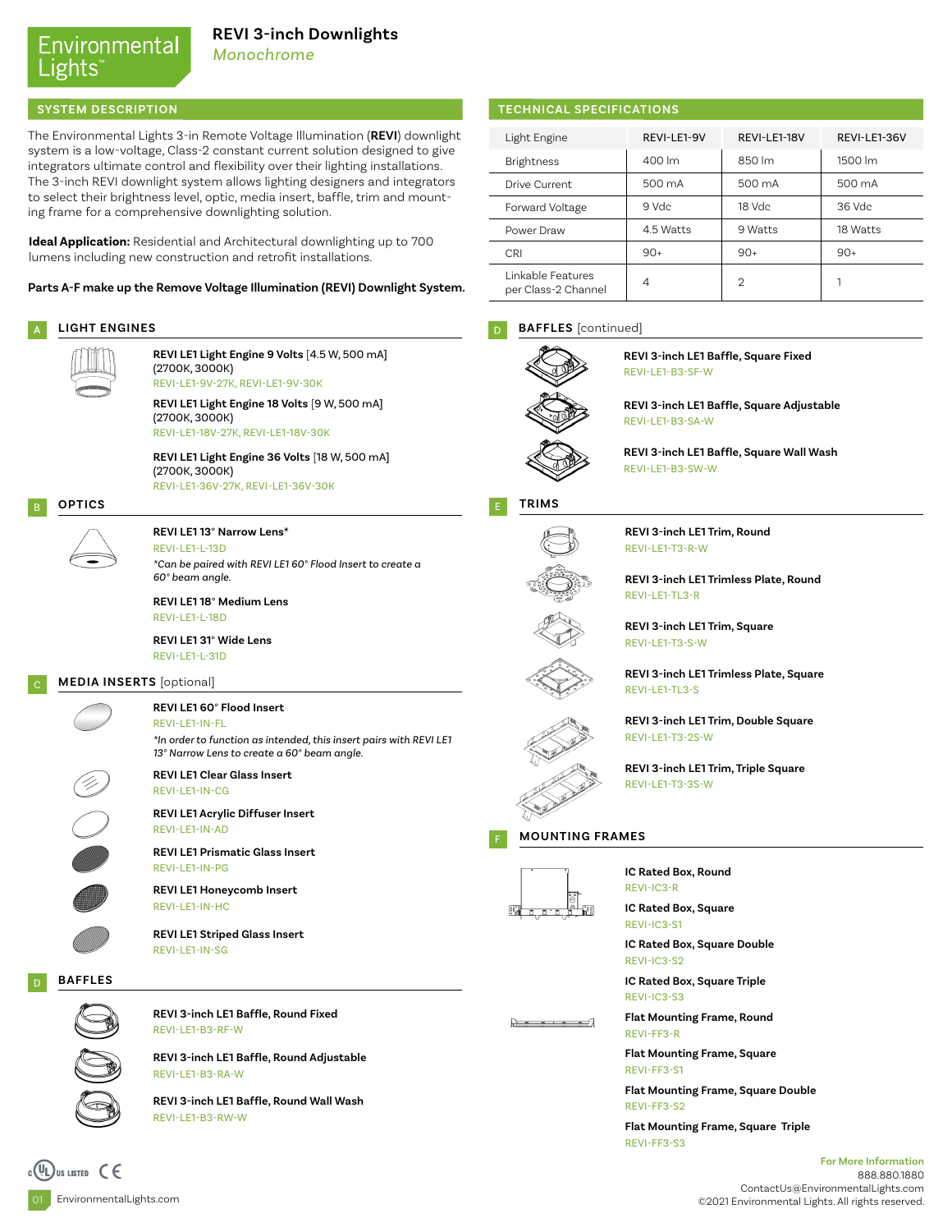## Environmental ights

*Monochrome*

The Environmental Lights 3-in Remote Voltage Illumination (**REVI**) downlight system is a low-voltage, Class-2 constant current solution designed to give integrators ultimate control and flexibility over their lighting installations. The 3-inch REVI downlight system allows lighting designers and integrators to select their brightness level, optic, media insert, baffle, trim and mounting frame for a comprehensive downlighting solution.

**Ideal Application:** Residential and Architectural downlighting up to 700 lumens including new construction and retrofit installations.

**Parts A-F make up the Remove Voltage Illumination (REVI) Downlight System.**

### A **LIGHT ENGINES**



REVI-LE1-9V-27K, REVI-LE1-9V-30K **REVI LE1 Light Engine 9 Volts** [4.5 W, 500 mA] (2700K, 3000K)

REVI-LE1-18V-27K, REVI-LE1-18V-30K **REVI LE1 Light Engine 18 Volts** [9 W, 500 mA] (2700K, 3000K)

**REVI LE1 Light Engine 36 Volts** [18 W, 500 mA] (2700K, 3000K)

REVI-LE1-36V-27K, REVI-LE1-36V-30K



#### **REVI LE1 13**° **Narrow Lens\***

REVI-LE1-L-13D *\*Can be paired with REVI LE1 60° Flood Insert to create a 60° beam angle.*

**REVI LE1 18**° **Medium Lens** REVI-LE1-L-18D

**REVI LE1 31**° **Wide Lens** REVI-LE1-L-31D

#### **MEDIA INSERTS** [optional]



**REVI LE1 60**° **Flood Insert**  REVI-LE1-IN-FL

*\*In order to function as intended, this insert pairs with REVI LE1 13° Narrow Lens to create a 60° beam angle.*



REVI-LE1-IN-AD **REVI LE1 Acrylic Diffuser Insert**

**REVI LE1 Prismatic Glass Insert** REVI-LE1-IN-PG

**REVI LE1 Honeycomb Insert** REVI-LE1-IN-HC



**BAFFLES**



**REVI 3-inch LE1 Baffle, Round Fixed** REVI-LE1-B3-RF-W

**REVI 3-inch LE1 Baffle, Round Adjustable** REVI-LE1-B3-RA-W

**REVI 3-inch LE1 Baffle, Round Wall Wash** REVI-LE1-B3-RW-W

### **SYSTEM DESCRIPTION TECHNICAL SPECIFICATIONS**

| Light Engine                             | REVI-LE1-9V | REVI-LE1-18V | REVI-LE1-36V |  |
|------------------------------------------|-------------|--------------|--------------|--|
| <b>Brightness</b>                        | 400 lm      | 850 lm       | 1500 lm      |  |
| Drive Current                            | 500 mA      | 500 mA       | 500 mA       |  |
| Forward Voltage                          | 9 Vdc       | $18$ Vdc     | 36 Vdc       |  |
| Power Draw                               | 4.5 Watts   | 9 Watts      | 18 Watts     |  |
| <b>CRI</b>                               | $90+$       | $90+$        | $90+$        |  |
| Linkable Features<br>per Class-2 Channel | 4           | っ            |              |  |

#### **BAFFLES** [continued]  $\overline{D}$



**REVI 3-inch LE1 Baffle, Square Fixed** REVI-LE1-B3-SF-W

**REVI 3-inch LE1 Baffle, Square Adjustable** REVI-LE1-B3-SA-W

**REVI 3-inch LE1 Baffle, Square Wall Wash** REVI-LE1-B3-SW-W





REVI-LE1-T3-R-W **REVI 3-inch LE1 Trim, Round**

**REVI 3-inch LE1 Trimless Plate, Round** REVI-LE1-TL3-R

**REVI 3-inch LE1 Trim, Square** REVI-LE1-T3-S-W

**REVI 3-inch LE1 Trimless Plate, Square** REVI-LE1-TL3-S

**REVI 3-inch LE1 Trim, Double Square** REVI-LE1-T3-2S-W

**REVI 3-inch LE1 Trim, Triple Square** REVI-LE1-T3-3S-W

F **MOUNTING FRAMES**



<u> Decembra</u>

**IC Rated Box, Round** REVI-IC3-R

**IC Rated Box, Square** REVI-IC3-S1

**IC Rated Box, Square Double** REVI-IC3-S2

**IC Rated Box, Square Triple** REVI-IC3-S3

**Flat Mounting Frame, Round**  REVI-FF3-R

**Flat Mounting Frame, Square**  REVI-FF3-S1

**Flat Mounting Frame, Square Double**  REVI-FF3-S2

**Flat Mounting Frame, Square Triple** REVI-FF3-S3

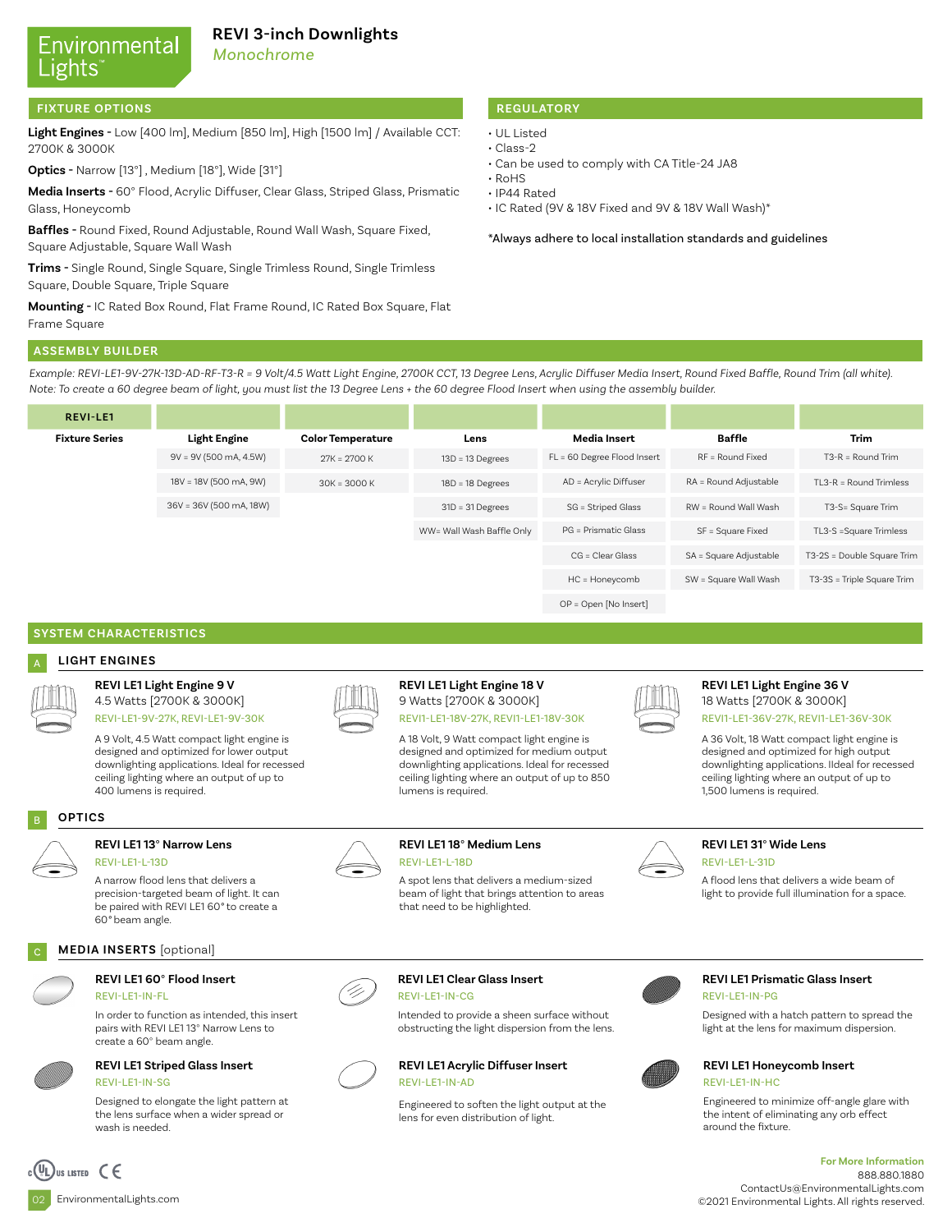# Environmental Lights

### **REVI 3-inch Downlights**

*Monochrome*

#### **FIXTURE OPTIONS**

**Light Engines -** Low [400 lm], Medium [850 lm], High [1500 lm] / Available CCT: 2700K & 3000K

**Optics -** Narrow [13°] , Medium [18°], Wide [31°]

**Media Inserts -** 60° Flood, Acrylic Diffuser, Clear Glass, Striped Glass, Prismatic Glass, Honeycomb

**Baffles -** Round Fixed, Round Adjustable, Round Wall Wash, Square Fixed, Square Adjustable, Square Wall Wash

**Trims -** Single Round, Single Square, Single Trimless Round, Single Trimless Square, Double Square, Triple Square

**Mounting -** IC Rated Box Round, Flat Frame Round, IC Rated Box Square, Flat Frame Square

### **REGULATORY**

- UL Listed
- Class-2
	- Can be used to comply with CA Title-24 JA8
	- RoHS
	- IP44 Rated
	- IC Rated (9V & 18V Fixed and 9V & 18V Wall Wash)\*

\*Always adhere to local installation standards and guidelines

### **ASSEMBLY BUILDER**

*Example: REVI-LE1-9V-27K-13D-AD-RF-T3-R = 9 Volt/4.5 Watt Light Engine, 2700K CCT, 13 Degree Lens, Acrylic Diffuser Media Insert, Round Fixed Baffle, Round Trim (all white). Note: To create a 60 degree beam of light, you must list the 13 Degree Lens + the 60 degree Flood Insert when using the assembly builder.* 

| <b>REVI-LE1</b>       |                          |                          |                           |                             |                        |                            |
|-----------------------|--------------------------|--------------------------|---------------------------|-----------------------------|------------------------|----------------------------|
| <b>Fixture Series</b> | <b>Light Engine</b>      | <b>Color Temperature</b> | Lens                      | Media Insert                | <b>Baffle</b>          | <b>Trim</b>                |
|                       | $9V = 9V (500 mA, 4.5W)$ | $27K = 2700K$            | $13D = 13$ Degrees        | FL = 60 Degree Flood Insert | RF = Round Fixed       | $T3-R = Round Tim$         |
|                       | 18V = 18V (500 mA, 9W)   | $30K = 3000K$            | $18D = 18$ Degrees        | AD = Acrylic Diffuser       | RA = Round Adjustable  | $TL3-R = Round Trimless$   |
|                       | 36V = 36V (500 mA, 18W)  |                          | $31D = 31$ Degrees        | SG = Striped Glass          | RW = Round Wall Wash   | T3-S= Square Trim          |
|                       |                          |                          | WW= Wall Wash Baffle Only | PG = Prismatic Glass        | SF = Square Fixed      | TL3-S =Square Trimless     |
|                       |                          |                          |                           | $CG = Clear Glass$          | SA = Square Adjustable | T3-2S = Double Square Trim |
|                       |                          |                          |                           | HC = Honeycomb              | SW = Square Wall Wash  | T3-3S = Triple Square Trim |
|                       |                          |                          |                           | OP = Open [No Insert]       |                        |                            |

#### **SYSTEM CHARACTERISTICS**

#### A **LIGHT ENGINES**

### **REVI LE1 Light Engine 9 V**



4.5 Watts [2700K & 3000K] REVI-LE1-9V-27K, REVI-LE1-9V-30K

A 9 Volt, 4.5 Watt compact light engine is designed and optimized for lower output downlighting applications. Ideal for recessed ceiling lighting where an output of up to 400 lumens is required.

#### B **OPTICS**

#### **REVI LE1 13**° **Narrow Lens** REVI-LE1-L-13D

A narrow flood lens that delivers a precision-targeted beam of light. It can be paired with REVI LE1 60*°* to create a 60*°* beam angle.

#### **MEDIA INSERTS** [optional]

#### **REVI LE1 60**° **Flood Insert**  REVI-LE1-IN-FL

In order to function as intended, this insert pairs with REVI LE1 13° Narrow Lens to create a 60° beam angle.



#### **REVI LE1 Striped Glass Insert** REVI-LE1-IN-SG

Designed to elongate the light pattern at the lens surface when a wider spread or wash is needed.



#### **REVI LE1 Light Engine 18 V** 9 Watts [2700K & 3000K]

REVI1-LE1-18V-27K, REVI1-LE1-18V-30K

A 18 Volt, 9 Watt compact light engine is designed and optimized for medium output downlighting applications. Ideal for recessed ceiling lighting where an output of up to 850 lumens is required.



#### **REVI LE1 Light Engine 36 V** 18 Watts [2700K & 3000K]

REVI1-LE1-36V-27K, REVI1-LE1-36V-30K

A 36 Volt, 18 Watt compact light engine is designed and optimized for high output downlighting applications. IIdeal for recessed ceiling lighting where an output of up to 1,500 lumens is required.



#### **REVI LE1 31**° **Wide Lens** REVI-LE1-L-31D

A flood lens that delivers a wide beam of light to provide full illumination for a space.

**REVI LE1 Clear Glass Insert** REVI-LE1-IN-CG

Intended to provide a sheen surface without obstructing the light dispersion from the lens.



#### Engineered to soften the light output at the lens for even distribution of light.



#### **REVI LE1 Prismatic Glass Insert** REVI-LE1-IN-PG

Designed with a hatch pattern to spread the light at the lens for maximum dispersion.



#### **REVI LE1 Honeycomb Insert** REVI-LE1-IN-HC

Engineered to minimize off-angle glare with the intent of eliminating any orb effect around the fixture.

#### **For More Information** 888.880.1880 ContactUs@EnvironmentalLights.com ©2021 Environmental Lights. All rights reserved.

02 EnvironmentalLights.com

US LISTED  $\epsilon$ 



#### **REVI LE1 18**° **Medium Lens** REVI-LE1-L-18D

A spot lens that delivers a medium-sized beam of light that brings attention to areas that need to be highlighted.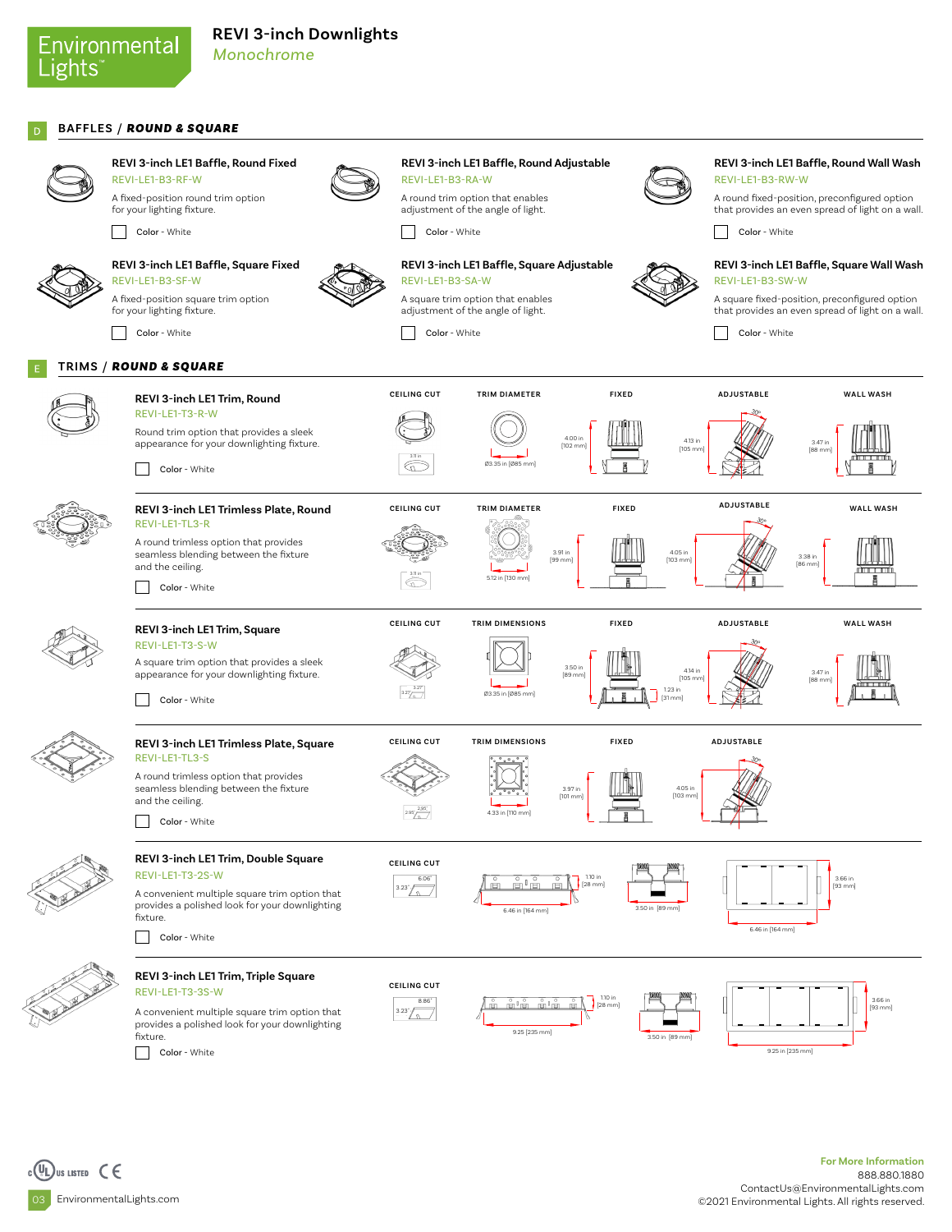### Environmental Lights

### **BAFFLES** / *ROUND & SQUARE*

Color - White

REVI-LE1-B3-SF-W



**REVI 3-inch LE1 Baffle, Round Fixed** REVI-LE1-B3-RF-W A fixed-position round trim option for your lighting fixture.

**REVI 3-inch LE1 Baffle, Square Fixed**

A fixed-position square trim option for your lighting fixture. Color - White



**REVI 3-inch LE1 Baffle, Round Adjustable** REVI-LE1-B3-RA-W

A round trim option that enables adjustment of the angle of light.

Color - White

 $\bigcirc$ 

**CEILING CUT**

 $\sqrt{a}$ 

3.23"

6.06"

 $2.95'$ <sup>2.95"</sup>

**CEILING CUT**

8.86" 3.23"



**REVI 3-inch LE1 Baffle, Square Adjustable** REVI-LE1-B3-SA-W

Ø3.35 in [Ø85 mm]

A square trim option that enables adjustment of the angle of light. Color - White



**TRIM DIAMETER WALL WASH FIXED ADJUSTABLE WALL WASH** 

4.13 i [105 m

4.05 in  $[103 m]$ 

**FIXED**

**FIXED**

4.00 in [102 mm] **REVI 3-inch LE1 Baffle, Round Wall Wash** REVI-LE1-B3-RW-W

A round fixed-position, preconfigured option that provides an even spread of light on a wall.

Color - White

**REVI 3-inch LE1 Baffle, Square Wall Wash** REVI-LE1-B3-SW-W

A square fixed-position, preconfigured option that provides an even spread of light on a wall.

> 3.47 in [88 mm]

3.38 in [86 mm]

Color - White

**ADJUSTABLE**

**ADJUSTABLE**

**ADJUSTABLE**

**TRIMS** / *ROUND & SQUARE*









4.05 in [103 mm]

3.50 in [89 mm]

3.50 in [89 mm]



seamless blending between the fixture and the ceiling.

**REVI 3-inch LE1 Trim, Double Square**

A convenient multiple square trim option that provides a polished look for your downlighting





#### **REVI 3-inch LE1 Trim, Triple Square** REVI-LE1-T3-3S-W

A convenient multiple square trim option that provides a polished look for your downlighting fixture.

Color - White

Color - White

REVI-LE1-T3-2S-W

Color - White

fixture.

milĕ 9.25 [235 mm]

6.46 in [164 mm]

4.33 in [110 mm]



3.97 in [101 mm]

1.10 in [28 mm]